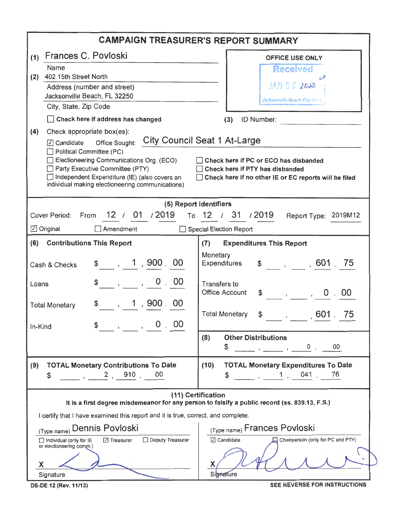| <b>CAMPAIGN TREASURER'S REPORT SUMMARY</b>                                                                                                                                                                                                                                                                                                                                                                                                                                  |                                                                                                                                                                                                                                                                                                                                               |  |  |  |  |  |  |
|-----------------------------------------------------------------------------------------------------------------------------------------------------------------------------------------------------------------------------------------------------------------------------------------------------------------------------------------------------------------------------------------------------------------------------------------------------------------------------|-----------------------------------------------------------------------------------------------------------------------------------------------------------------------------------------------------------------------------------------------------------------------------------------------------------------------------------------------|--|--|--|--|--|--|
| Frances C. Povloski<br>(1)                                                                                                                                                                                                                                                                                                                                                                                                                                                  | <b>OFFICE USE ONLY</b>                                                                                                                                                                                                                                                                                                                        |  |  |  |  |  |  |
| Name                                                                                                                                                                                                                                                                                                                                                                                                                                                                        | <b>Received</b>                                                                                                                                                                                                                                                                                                                               |  |  |  |  |  |  |
| 402 15th Street North<br>(2)<br>Address (number and street)                                                                                                                                                                                                                                                                                                                                                                                                                 | JAN 0 8 2020                                                                                                                                                                                                                                                                                                                                  |  |  |  |  |  |  |
| Jacksonville Beach, FL 32250                                                                                                                                                                                                                                                                                                                                                                                                                                                |                                                                                                                                                                                                                                                                                                                                               |  |  |  |  |  |  |
| City, State, Zip Code                                                                                                                                                                                                                                                                                                                                                                                                                                                       | Jacksonville Beach City Clerk                                                                                                                                                                                                                                                                                                                 |  |  |  |  |  |  |
| Check here if address has changed                                                                                                                                                                                                                                                                                                                                                                                                                                           | ID Number:<br>(3)                                                                                                                                                                                                                                                                                                                             |  |  |  |  |  |  |
| (4)<br>Check appropriate box(es):<br><b>City Council Seat 1 At-Large</b><br>$\boxed{7}$ Candidate<br>Office Sought:<br>Political Committee (PC)<br>Electioneering Communications Org. (ECO)<br>Check here if PC or ECO has disbanded<br>Party Executive Committee (PTY)<br>Check here if PTY has disbanded<br>□ Independent Expenditure (IE) (also covers an<br>□ Check here if no other IE or EC reports will be filed<br>individual making electioneering communications) |                                                                                                                                                                                                                                                                                                                                               |  |  |  |  |  |  |
| (5) Report Identifiers                                                                                                                                                                                                                                                                                                                                                                                                                                                      |                                                                                                                                                                                                                                                                                                                                               |  |  |  |  |  |  |
| 12 / 01 / 2019<br><b>Cover Period:</b><br>From                                                                                                                                                                                                                                                                                                                                                                                                                              | To 12 / 31 / 2019<br>Report Type: 2019M12                                                                                                                                                                                                                                                                                                     |  |  |  |  |  |  |
| Amendment<br>$\Box$ Original<br>$\perp$                                                                                                                                                                                                                                                                                                                                                                                                                                     | <b>Special Election Report</b>                                                                                                                                                                                                                                                                                                                |  |  |  |  |  |  |
| <b>Contributions This Report</b><br>(6)                                                                                                                                                                                                                                                                                                                                                                                                                                     | <b>Expenditures This Report</b><br>(7)                                                                                                                                                                                                                                                                                                        |  |  |  |  |  |  |
| \$, 1, 900, 00<br>Cash & Checks                                                                                                                                                                                                                                                                                                                                                                                                                                             | Monetary<br>$\frac{1}{2}$ , , 601 .75<br>Expenditures                                                                                                                                                                                                                                                                                         |  |  |  |  |  |  |
| 0.00<br>\$<br>$\mathbf{y} = \mathbf{y}$<br>Loans                                                                                                                                                                                                                                                                                                                                                                                                                            | <b>Transfers to</b><br><b>Office Account</b><br>$\frac{1}{2}$ , , , 0 , 00                                                                                                                                                                                                                                                                    |  |  |  |  |  |  |
| $\frac{1}{2}$ , 1,900.00<br><b>Total Monetary</b>                                                                                                                                                                                                                                                                                                                                                                                                                           |                                                                                                                                                                                                                                                                                                                                               |  |  |  |  |  |  |
| $\,$ , , 0, 00<br>\$<br>In-Kind                                                                                                                                                                                                                                                                                                                                                                                                                                             | <b>Total Monetary</b><br>601<br>75<br>$\int$ , $\int$                                                                                                                                                                                                                                                                                         |  |  |  |  |  |  |
|                                                                                                                                                                                                                                                                                                                                                                                                                                                                             | <b>Other Distributions</b><br>(8)<br>\$                                                                                                                                                                                                                                                                                                       |  |  |  |  |  |  |
| <b>TOTAL Monetary Contributions To Date</b><br>(9)<br>$\frac{1}{2}$ , 2, 910.<br>00<br>\$                                                                                                                                                                                                                                                                                                                                                                                   | <b>TOTAL Monetary Expenditures To Date</b><br>(10)<br>$\begin{array}{cccc} \begin{array}{cccccccccc} \text{---} & \text{.} & \end{array} & \begin{array}{cccccccccc} \text{1} & \text{.} & \end{array} & \begin{array}{cccccccccc} \text{041} & \text{.} & \end{array} & \begin{array}{cccccccccc} \text{76} & \end{array} \end{array}$<br>\$ |  |  |  |  |  |  |
| (11) Certification<br>It is a first degree misdemeanor for any person to falsify a public record (ss. 839.13, F.S.)                                                                                                                                                                                                                                                                                                                                                         |                                                                                                                                                                                                                                                                                                                                               |  |  |  |  |  |  |
| I certify that I have examined this report and it is true, correct, and complete:                                                                                                                                                                                                                                                                                                                                                                                           |                                                                                                                                                                                                                                                                                                                                               |  |  |  |  |  |  |
| (Type name) Dennis Povloski                                                                                                                                                                                                                                                                                                                                                                                                                                                 | (Type name) Frances Povloski                                                                                                                                                                                                                                                                                                                  |  |  |  |  |  |  |
| Deputy Treasurer<br><b>□</b> Treasurer<br>$\Box$ Individual (only for $IE$<br>or electioneering comm.)                                                                                                                                                                                                                                                                                                                                                                      | ○ Candidate<br>Chairperson (only for PC and PTY)                                                                                                                                                                                                                                                                                              |  |  |  |  |  |  |
| X<br>Signature                                                                                                                                                                                                                                                                                                                                                                                                                                                              | <b>Signature</b>                                                                                                                                                                                                                                                                                                                              |  |  |  |  |  |  |
| DS-DE 12 (Rev. 11/13)                                                                                                                                                                                                                                                                                                                                                                                                                                                       | SEE REVERSE FOR INSTRUCTIONS                                                                                                                                                                                                                                                                                                                  |  |  |  |  |  |  |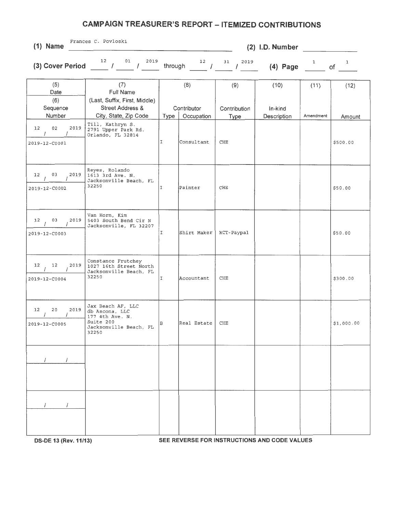## **CAMPAIGN TREASURER'S REPORT - ITEMIZED CONTRIBUTIONS**

| $(1)$ Name                                                | Frances C. Povloski<br>$(2)$ I.D. Number                                                               |              |                           |                      |                                              |           |            |  |
|-----------------------------------------------------------|--------------------------------------------------------------------------------------------------------|--------------|---------------------------|----------------------|----------------------------------------------|-----------|------------|--|
|                                                           | 2019<br>(3) Cover Period $12$ $12$ $01$ $12019$                                                        |              |                           |                      |                                              |           |            |  |
| (5)<br>Date<br>(6)                                        | (7)<br>Full Name<br>(Last, Suffix, First, Middle)                                                      |              | (8)                       | (9)                  | (10)                                         | (11)      | (12)       |  |
| Sequence<br>Number                                        | <b>Street Address &amp;</b><br>City, State, Zip Code                                                   | Type         | Contributor<br>Occupation | Contribution<br>Type | In-kind<br>Description                       | Amendment | Amount     |  |
| 02<br>2019<br>12<br>$\prime$<br>$\prime$<br>2019-12-C0001 | Till, Kathryn S.<br>2791 Upper Park Rd.<br>Orlando, FL 32814                                           | I            | Consultant                | CHE                  |                                              |           | \$500.00   |  |
| 03<br>2019<br>12<br>2019-12-C0002                         | Reyes, Rolando<br>1613 3rd Ave. N.<br>Jacksonville Beach, FL<br>32250                                  | I            | Painter                   | CHE                  |                                              |           | \$50.00    |  |
| 03<br>2019<br>12<br>2019-12-C0003                         | Van Horn, Kim<br>5403 South Bend Cir N<br>Jacksonville, FL 32207                                       | Ι            | Shirt Maker               | RCT-Paypal           |                                              |           | \$50.00    |  |
| 12<br>2019<br>12<br>2019-12-C0004                         | Constance Frutchey<br>1027 16th Street North<br>Jacksonville Beach, FL<br>32250                        | $\mathbb{I}$ | Accountant                | CHE                  |                                              |           | \$300.00   |  |
| 12<br>20<br>2019<br>$2019 - 12 - 00005$                   | Jax Beach AF, LLC<br>db Ascona, LLC<br>177 4th Ave. N.<br>Suite 200<br>Jacksonville Beach, FL<br>32250 | lв           | $Real$ Estate $ $ CHE     |                      |                                              |           | \$1,000.00 |  |
|                                                           |                                                                                                        |              |                           |                      |                                              |           |            |  |
|                                                           |                                                                                                        |              |                           |                      |                                              |           |            |  |
| DS-DE 13 (Rev. 11/13)                                     |                                                                                                        |              |                           |                      | SEE REVERSE FOR INSTRUCTIONS AND CODE VALUES |           |            |  |

**DS-DE 13 (Rev. 11/13)** 

 $\overline{\mathbf{v}}$